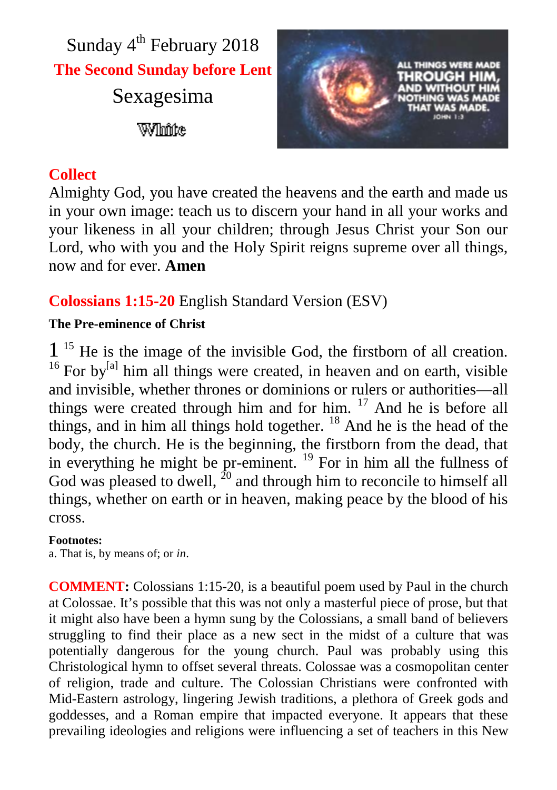



### **Collect**

Almighty God, you have created the heavens and the earth and made us in your own image: teach us to discern your hand in all your works and your likeness in all your children; through Jesus Christ your Son our Lord, who with you and the Holy Spirit reigns supreme over all things, now and for ever. **Amen**

# **Colossians 1:15-20** English Standard Version (ESV)

### **The Pre-eminence of Christ**

1<sup>15</sup> He is the image of the invisible God, the firstborn of all creation.  $16$  For by<sup>[a]</sup> him all things were created, in heaven and on earth, visible and invisible, whether thrones or dominions or rulers or authorities—all things were created through him and for him. <sup>17</sup> And he is before all things, and in him all things hold together.  $18$  And he is the head of the body, the church. He is the beginning, the firstborn from the dead, that in everything he might be pr-eminent.  $^{19}$  For in him all the fullness of God was pleased to dwell,  $^{20}$  and through him to reconcile to himself all things, whether on earth or in heaven, making peace by the blood of his cross.

#### **Footnotes:**

a. That is, by means of; or *in*.

**COMMENT:** Colossians 1:15-20, is a beautiful poem used by Paul in the church at Colossae. It's possible that this was not only a masterful piece of prose, but that it might also have been a hymn sung by the Colossians, a small band of believers struggling to find their place as a new sect in the midst of a culture that was potentially dangerous for the young church. Paul was probably using this Christological hymn to offset several threats. Colossae was a cosmopolitan center of religion, trade and culture. The Colossian Christians were confronted with Mid-Eastern astrology, lingering Jewish traditions, a plethora of Greek gods and goddesses, and a Roman empire that impacted everyone. It appears that these prevailing ideologies and religions were influencing a set of teachers in this New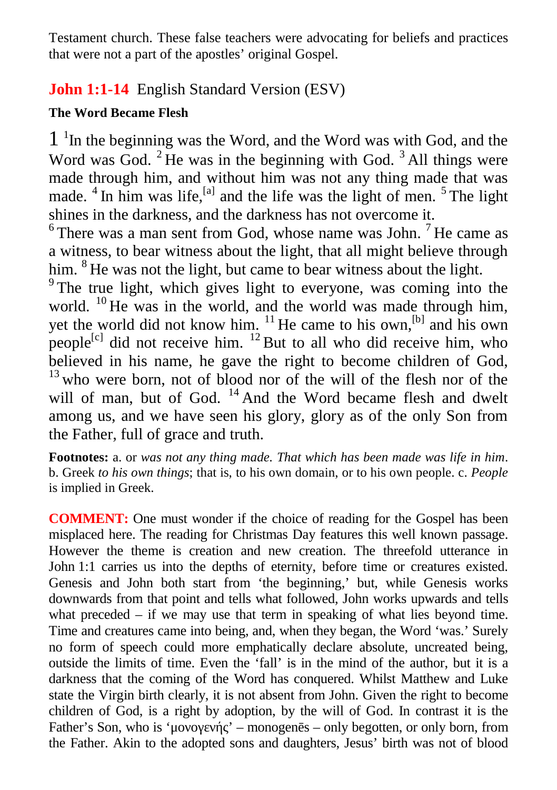Testament church. These false teachers were advocating for beliefs and practices that were not a part of the apostles' original Gospel.

## **John 1:1-14** English Standard Version (ESV)

### **The Word Became Flesh**

1 1 In the beginning was the Word, and the Word was with God, and the Word was God.  $2$  He was in the beginning with God.  $3$  All things were made through him, and without him was not any thing made that was made.  $4$  In him was life,<sup>[a]</sup> and the life was the light of men.  $5$  The light shines in the darkness, and the darkness has not overcome it.

 $6$ There was a man sent from God, whose name was John.<sup>7</sup> He came as a witness, to bear witness about the light, that all might believe through him. <sup>8</sup> He was not the light, but came to bear witness about the light.

<sup>9</sup> The true light, which gives light to everyone, was coming into the world. <sup>10</sup> He was in the world, and the world was made through him, yet the world did not know him. <sup>11</sup> He came to his own,<sup>[b]</sup> and his own people<sup>[c]</sup> did not receive him. <sup>12</sup> But to all who did receive him, who believed in his name, he gave the right to become children of God,  $13$  who were born, not of blood nor of the will of the flesh nor of the will of man, but of God.  $14$  And the Word became flesh and dwelt among us, and we have seen his glory, glory as of the only Son from the Father, full of grace and truth.

**Footnotes:** a. or *was not any thing made. That which has been made was life in him*. b. Greek *to his own things*; that is, to his own domain, or to his own people. c. *People* is implied in Greek.

**COMMENT:** One must wonder if the choice of reading for the Gospel has been misplaced here. The reading for Christmas Day features this well known passage. However the theme is creation and new creation. The threefold utterance in John 1:1 carries us into the depths of eternity, before time or creatures existed. Genesis and John both start from 'the beginning,' but, while Genesis works downwards from that point and tells what followed, John works upwards and tells what preceded – if we may use that term in speaking of what lies beyond time. Time and creatures came into being, and, when they began, the Word 'was.' Surely no form of speech could more emphatically declare absolute, uncreated being, outside the limits of time. Even the 'fall' is in the mind of the author, but it is a darkness that the coming of the Word has conquered. Whilst Matthew and Luke state the Virgin birth clearly, it is not absent from John. Given the right to become children of God, is a right by adoption, by the will of God. In contrast it is the Father's Son, who is 'μ $\cdot$  – monogen s – only begotten, or only born, from the Father. Akin to the adopted sons and daughters, Jesus' birth was not of blood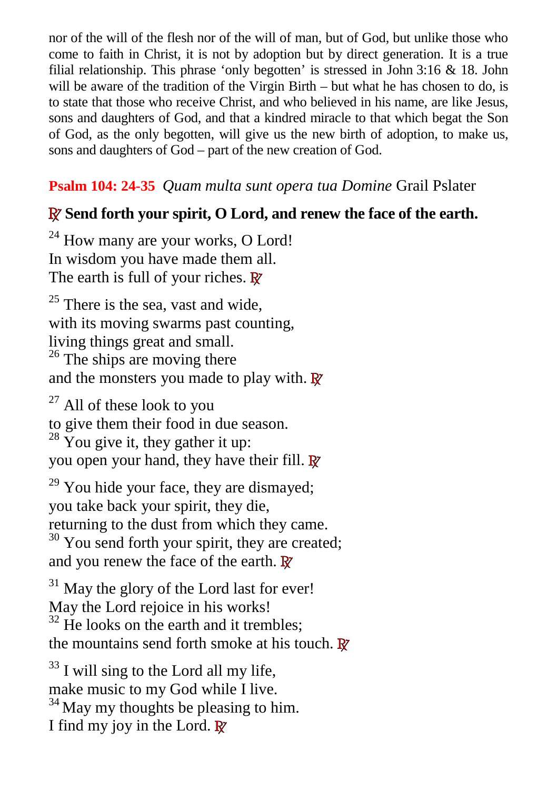nor of the will of the flesh nor of the will of man, but of God, but unlike those who come to faith in Christ, it is not by adoption but by direct generation. It is a true filial relationship. This phrase 'only begotten' is stressed in John 3:16 & 18. John will be aware of the tradition of the Virgin Birth – but what he has chosen to do, is to state that those who receive Christ, and who believed in his name, are like Jesus, sons and daughters of God, and that a kindred miracle to that which begat the Son of God, as the only begotten, will give us the new birth of adoption, to make us, sons and daughters of God – part of the new creation of God.

## **Psalm 104: 24-35** *Quam multa sunt opera tua Domine* Grail Pslater

# **R Send forth your spirit, O Lord, and renew the face of the earth.**

 $24$  How many are your works, O Lord! In wisdom you have made them all. The earth is full of your riches. **R**

 $25$  There is the sea, vast and wide, with its moving swarms past counting, living things great and small.  $26$  The ships are moving there and the monsters you made to play with. **R**

 $27$  All of these look to you to give them their food in due season.  $28 \text{ You give it, they gather it up:}$ you open your hand, they have their fill. **R**

 $29$  You hide your face, they are dismayed; you take back your spirit, they die, returning to the dust from which they came.  $30$  You send forth your spirit, they are created; and you renew the face of the earth. **R**

 $31$  May the glory of the Lord last for ever! May the Lord rejoice in his works!  $32$  He looks on the earth and it trembles; the mountains send forth smoke at his touch. **R**

 $33$  I will sing to the Lord all my life, make music to my God while I live.  $34$  May my thoughts be pleasing to him. I find my joy in the Lord. **R**